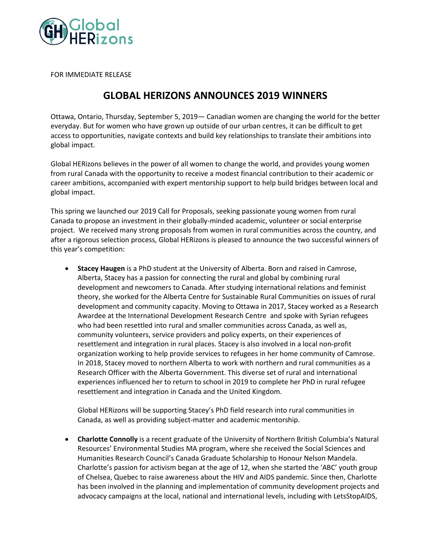

FOR IMMEDIATE RELEASE

## **GLOBAL HERIZONS ANNOUNCES 2019 WINNERS**

Ottawa, Ontario, Thursday, September 5, 2019— Canadian women are changing the world for the better everyday. But for women who have grown up outside of our urban centres, it can be difficult to get access to opportunities, navigate contexts and build key relationships to translate their ambitions into global impact.

Global HERizons believes in the power of all women to change the world, and provides young women from rural Canada with the opportunity to receive a modest financial contribution to their academic or career ambitions, accompanied with expert mentorship support to help build bridges between local and global impact.

This spring we launched our 2019 Call for Proposals, seeking passionate young women from rural Canada to propose an investment in their globally-minded academic, volunteer or social enterprise project. We received many strong proposals from women in rural communities across the country, and after a rigorous selection process, Global HERizons is pleased to announce the two successful winners of this year's competition:

• **Stacey Haugen** is a PhD student at the University of Alberta. Born and raised in Camrose, Alberta, Stacey has a passion for connecting the rural and global by combining rural development and newcomers to Canada. After studying international relations and feminist theory, she worked for the Alberta Centre for Sustainable Rural Communities on issues of rural development and community capacity. Moving to Ottawa in 2017, Stacey worked as a Research Awardee at the International Development Research Centre and spoke with Syrian refugees who had been resettled into rural and smaller communities across Canada, as well as, community volunteers, service providers and policy experts, on their experiences of resettlement and integration in rural places. Stacey is also involved in a local non-profit organization working to help provide services to refugees in her home community of Camrose. In 2018, Stacey moved to northern Alberta to work with northern and rural communities as a Research Officer with the Alberta Government. This diverse set of rural and international experiences influenced her to return to school in 2019 to complete her PhD in rural refugee resettlement and integration in Canada and the United Kingdom.

Global HERizons will be supporting Stacey's PhD field research into rural communities in Canada, as well as providing subject-matter and academic mentorship.

• **Charlotte Connolly** is a recent graduate of the University of Northern British Columbia's Natural Resources' Environmental Studies MA program, where she received the Social Sciences and Humanities Research Council's Canada Graduate Scholarship to Honour Nelson Mandela. Charlotte's passion for activism began at the age of 12, when she started the 'ABC' youth group of Chelsea, Quebec to raise awareness about the HIV and AIDS pandemic. Since then, Charlotte has been involved in the planning and implementation of community development projects and advocacy campaigns at the local, national and international levels, including with LetsStopAIDS,